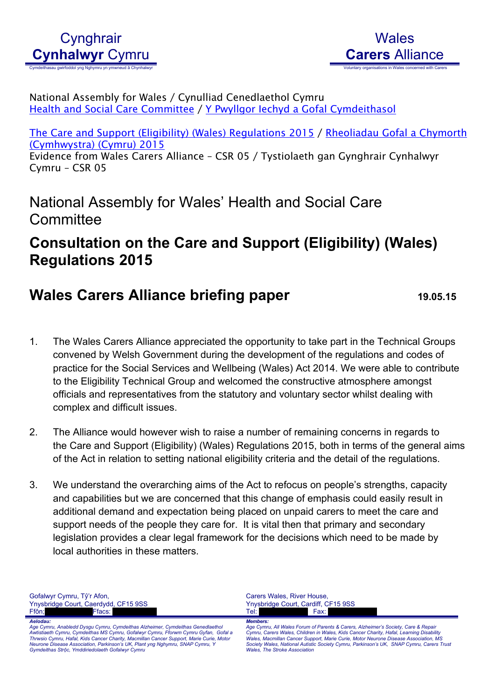# **Wales Carers** Alliance

National Assembly for Wales / Cynulliad Cenedlaethol Cymru Health and Social Care [Committee](http://www.senedd.assembly.wales/mgCommitteeDetails.aspx?ID=227) / Y Pwyllgor Iechyd a Gofal [Cymdeithasol](http://www.senedd.cynulliad.cymru/mgCommitteeDetails.aspx?ID=227)

The Care and Support (Eligibility) (Wales) [Regulations](http://www.senedd.assembly.wales/mgConsultationDisplay.aspx?ID=177) 2015 / [Rheoliadau](http://www.senedd.cynulliad.cymru/mgConsultationDisplay.aspx?ID=177) Gofal a Chymorth [\(Cymhwystra\)](http://www.senedd.cynulliad.cymru/mgConsultationDisplay.aspx?ID=177) (Cymru) 2015

Evidence from Wales Carers Alliance – CSR 05 / Tystiolaeth gan Gynghrair Cynhalwyr Cymru – CSR 05

National Assembly for Wales' Health and Social Care **Committee** 

### **Consultation on the Care and Support (Eligibility) (Wales) Regulations 2015**

## **Wales Carers Alliance briefing paper 19.05.15**

- 1. The Wales Carers Alliance appreciated the opportunity to take part in the Technical Groups convened by Welsh Government during the development of the regulations and codes of practice for the Social Services and Wellbeing (Wales) Act 2014. We were able to contribute to the Eligibility Technical Group and welcomed the constructive atmosphere amongst officials and representatives from the statutory and voluntary sector whilst dealing with complex and difficult issues.
- 2. The Alliance would however wish to raise a number of remaining concerns in regards to the Care and Support (Eligibility) (Wales) Regulations 2015, both in terms of the general aims of the Act in relation to setting national eligibility criteria and the detail of the regulations.
- 3. We understand the overarching aims of the Act to refocus on people's strengths, capacity and capabilities but we are concerned that this change of emphasis could easily result in additional demand and expectation being placed on unpaid carers to meet the care and support needs of the people they care for. It is vital then that primary and secondary legislation provides a clear legal framework for the decisions which need to be made by local authorities in these matters.

Gofalwyr Cymru, Tŷ'r Afon, Ynysbridge Court, Caerdydd, CF15 9SS Ffôn; XXXXXXXXXX Ffacs: XXXXXXXXXX Carers Wales, River House, Ynysbridge Court, Cardiff, CF15 9SS Tel: XXXXXXXXXXX Fax: XXXXXXXXXXX *Aelodau:* Age Cymru, Anabledd Dysgu Cymru, Cymdeithas Alzheimer, Cymdeithas Genedlaethol<br>Awtistiaeth Cymru, Cymdeithas MS Cymru, Gofalwyr Cymru, Fforwm Cymru Gyfan, Gofal a<br>Thrwsio Cymru, Hafal, Kids Cancer Charity, Macmillan Cance *Gymdeithas Strộc, Ymddiriedolaeth Gofalwyr Cymru Members:* Age Cymru, All Wales Forum of Parents & Carers, Alzheimer's Society, Care & Repair<br>Cymru, Carers Wales, Children in Wales, Kids Cancer Charity, Hafal, Learning Disability<br>Wales, Macmillan Cancer Support, Marie Curie, Motor *Wales, The Stroke Association*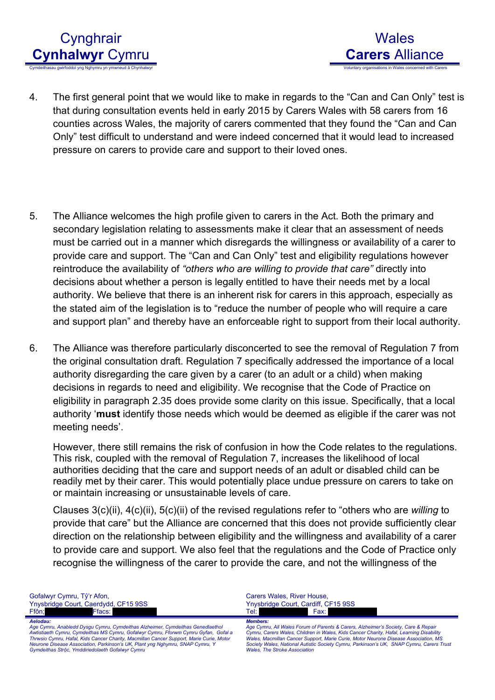



- 4. The first general point that we would like to make in regards to the "Can and Can Only" test is that during consultation events held in early 2015 by Carers Wales with 58 carers from 16 counties across Wales, the majority of carers commented that they found the "Can and Can Only" test difficult to understand and were indeed concerned that it would lead to increased pressure on carers to provide care and support to their loved ones.
- 5. The Alliance welcomes the high profile given to carers in the Act. Both the primary and secondary legislation relating to assessments make it clear that an assessment of needs must be carried out in a manner which disregards the willingness or availability of a carer to provide care and support. The "Can and Can Only" test and eligibility regulations however reintroduce the availability of *"others who are willing to provide that care"* directly into decisions about whether a person is legally entitled to have their needs met by a local authority. We believe that there is an inherent risk for carers in this approach, especially as the stated aim of the legislation is to "reduce the number of people who will require a care and support plan" and thereby have an enforceable right to support from their local authority.
- 6. The Alliance was therefore particularly disconcerted to see the removal of Regulation 7 from the original consultation draft. Regulation 7 specifically addressed the importance of a local authority disregarding the care given by a carer (to an adult or a child) when making decisions in regards to need and eligibility. We recognise that the Code of Practice on eligibility in paragraph 2.35 does provide some clarity on this issue. Specifically, that a local authority '**must** identify those needs which would be deemed as eligible if the carer was not meeting needs'.

However, there still remains the risk of confusion in how the Code relates to the regulations. This risk, coupled with the removal of Regulation 7, increases the likelihood of local authorities deciding that the care and support needs of an adult or disabled child can be readily met by their carer. This would potentially place undue pressure on carers to take on or maintain increasing or unsustainable levels of care.

Clauses 3(c)(ii), 4(c)(ii), 5(c)(ii) of the revised regulations refer to "others who are *willing* to provide that care" but the Alliance are concerned that this does not provide sufficiently clear direction on the relationship between eligibility and the willingness and availability of a carer to provide care and support. We also feel that the regulations and the Code of Practice only recognise the willingness of the carer to provide the care, and not the willingness of the

| Gofalwyr Cymru, Tŷ'r Afon,                                                              | Carers Wales, River House.                                                               |
|-----------------------------------------------------------------------------------------|------------------------------------------------------------------------------------------|
| Ynysbridge Court, Caerdydd, CF15 9SS                                                    | Ynysbridge Court, Cardiff, CF15 9SS                                                      |
| Ffacs: I                                                                                | Fax:                                                                                     |
| Ffôn:                                                                                   | Tel: L                                                                                   |
| Aelodau:                                                                                | <b>Members:</b>                                                                          |
| Age Cymru, Anabledd Dysgu Cymru, Cymdeithas Alzheimer, Cymdeithas Genedlaethol          | Age Cymru, All Wales Forum of Parents & Carers, Alzheimer's Society, Care & Repair       |
| Awtistiaeth Cymru, Cymdeithas MS Cymru, Gofalwyr Cymru, Fforwm Cymru Gyfan, Gofal a     | Cymru, Carers Wales, Children in Wales, Kids Cancer Charity, Hafal, Learning Disability  |
| Thrwsio Cymru, Hafal, Kids Cancer Charity, Macmillan Cancer Support, Marie Curie, Motor | Wales, Macmillan Cancer Support, Marie Curie, Motor Neurone Disease Association, MS      |
| Neurone Disease Association, Parkinson's UK, Plant yng Nghymru, SNAP Cymru, Y           | Society Wales, National Autistic Society Cymru, Parkinson's UK, SNAP Cymru, Carers Trust |
| Gymdeithas Strôc, Ymddiriedolaeth Gofalwyr Cymru                                        | <b>Wales. The Stroke Association</b>                                                     |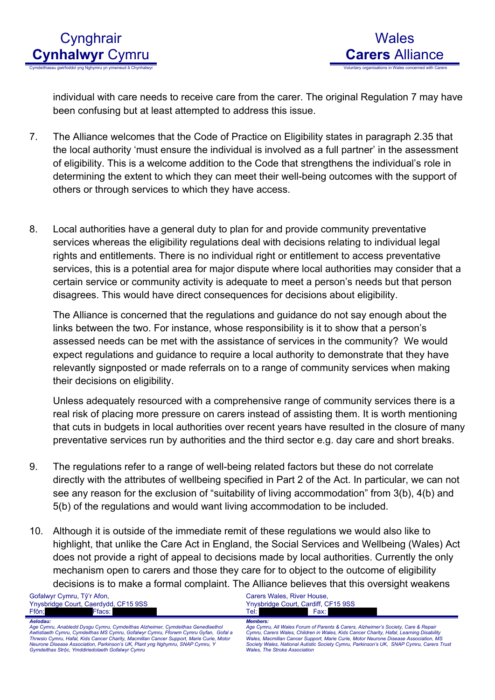



individual with care needs to receive care from the carer. The original Regulation 7 may have been confusing but at least attempted to address this issue.

- 7. The Alliance welcomes that the Code of Practice on Eligibility states in paragraph 2.35 that the local authority 'must ensure the individual is involved as a full partner' in the assessment of eligibility. This is a welcome addition to the Code that strengthens the individual's role in determining the extent to which they can meet their well-being outcomes with the support of others or through services to which they have access.
- 8. Local authorities have a general duty to plan for and provide community preventative services whereas the eligibility regulations deal with decisions relating to individual legal rights and entitlements. There is no individual right or entitlement to access preventative services, this is a potential area for major dispute where local authorities may consider that a certain service or community activity is adequate to meet a person's needs but that person disagrees. This would have direct consequences for decisions about eligibility.

The Alliance is concerned that the regulations and guidance do not say enough about the links between the two. For instance, whose responsibility is it to show that a person's assessed needs can be met with the assistance of services in the community? We would expect regulations and guidance to require a local authority to demonstrate that they have relevantly signposted or made referrals on to a range of community services when making their decisions on eligibility.

Unless adequately resourced with a comprehensive range of community services there is a real risk of placing more pressure on carers instead of assisting them. It is worth mentioning that cuts in budgets in local authorities over recent years have resulted in the closure of many preventative services run by authorities and the third sector e.g. day care and short breaks.

- 9. The regulations refer to a range of well-being related factors but these do not correlate directly with the attributes of wellbeing specified in Part 2 of the Act. In particular, we can not see any reason for the exclusion of "suitability of living accommodation" from 3(b), 4(b) and 5(b) of the regulations and would want living accommodation to be included.
- 10. Although it is outside of the immediate remit of these regulations we would also like to highlight, that unlike the Care Act in England, the Social Services and Wellbeing (Wales) Act does not provide a right of appeal to decisions made by local authorities. Currently the only mechanism open to carers and those they care for to object to the outcome of eligibility decisions is to make a formal complaint. The Alliance believes that this oversight weakens

Gofalwyr Cymru, Tŷ'r Afon, Ynysbridge Court, Caerdydd, CF15 9SS Ffôn; XXXX Ffacs: *Aelodau:*

Age Cymru, Anabledd Dysgu Cymru, Cymdeithas Alzheimer, Cymdeithas Genedlaethol<br>Awtistiaeth Cymru, Cymdeithas MS Cymru, Gofalwyr Cymru, Fforwm Cymru Gyfan, Gofal a<br>Thrwsio Cymru, Hafal, Kids Cancer Charity, Macmillan Cancer *Neurone Disease Association, Parkinson's UK, Plant yng Nghymru, SNAP Cymru, Y Gymdeithas Strộc, Ymddiriedolaeth Gofalwyr Cymru*

Carers Wales, River House, Ynysbridge Court, Cardiff, CF15 9SS Tel: XXXXXXXXXXX Fax: XXXXXXXXXXX *Members:*

Age Cymru, All Wales Forum of Parents & Carers, Alzheimer's Society, Care & Repair<br>Cymru, Carers Wales, Children in Wales, Kids Cancer Charity, Hafal, Learning Disability<br>Wales, Macmillan Cancer Support, Marie Curie, Motor *Wales, The Stroke Association*